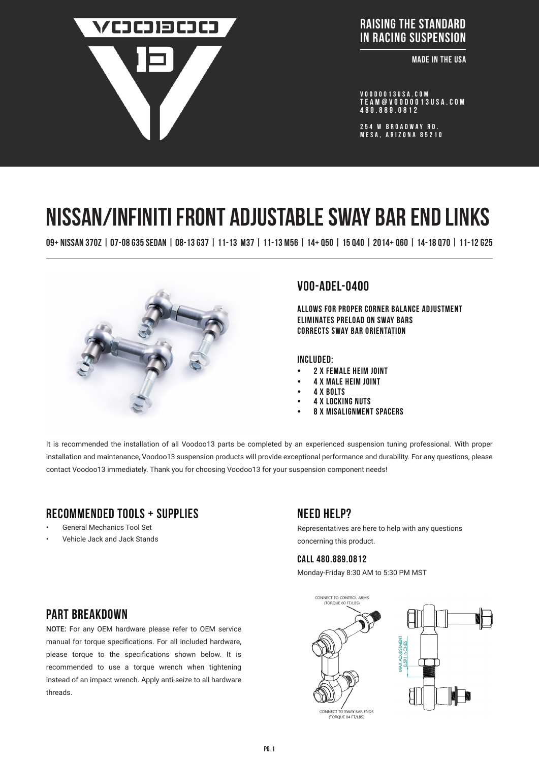

**ADDRESS :** RAISING THE STANDARD IN RACING SUSPENSION

**Example IN THE USA** 

VOODOO13USA.COM tEAM@VOODOO13USA.COM 480.889.0812

254 W BROADWAY RD. MESA, ARIZONA 85210

# NISSAN/infiniti FRONT ADJUSTABLE SWAY BAR END LINKS

09+ nISSAN 370Z | 07-08 g35 sedan | 08-13 g37 | 11-13 m37 | 11-13 m56 | 14+ q50 | 15 q40 | 2014+ q60 | 14-18 q70 | 11-12 g25



## voo-adel-0400

Allows for proper corner balance adjustment Eliminates preload on sway bars Corrects sway bar orientation

#### Included:

- 2 x FEMALE HEIM JOINT
- 4 x MALE HEIM JOINT
- 4 X BOLTS
- **4 X LOCKING NUTS**
- 8 X MISALIGNMENT SPACERS

It is recommended the installation of all Voodoo13 parts be completed by an experienced suspension tuning professional. With proper installation and maintenance, Voodoo13 suspension products will provide exceptional performance and durability. For any questions, please contact Voodoo13 immediately. Thank you for choosing Voodoo13 for your suspension component needs!

## Recommended tools + supplies

- General Mechanics Tool Set
- Vehicle Jack and Jack Stands

## Need help?

Representatives are here to help with any questions concerning this product.

#### CALL 480.889.0812

Monday-Friday 8:30 AM to 5:30 PM MST



## PART BRFAKDOWN

NOTE: For any OEM hardware please refer to OEM service manual for torque specifications. For all included hardware, please torque to the specifications shown below. It is recommended to use a torque wrench when tightening instead of an impact wrench. Apply anti-seize to all hardware threads.